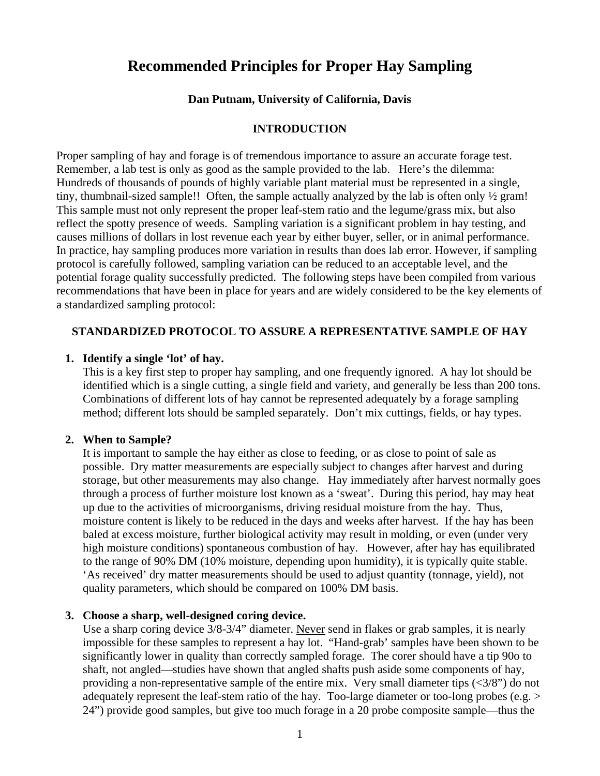# **Recommended Principles for Proper Hay Sampling**

### **Dan Putnam, University of California, Davis**

#### **INTRODUCTION**

Proper sampling of hay and forage is of tremendous importance to assure an accurate forage test. Remember, a lab test is only as good as the sample provided to the lab. Here's the dilemma: Hundreds of thousands of pounds of highly variable plant material must be represented in a single, tiny, thumbnail-sized sample!! Often, the sample actually analyzed by the lab is often only ½ gram! This sample must not only represent the proper leaf-stem ratio and the legume/grass mix, but also reflect the spotty presence of weeds. Sampling variation is a significant problem in hay testing, and causes millions of dollars in lost revenue each year by either buyer, seller, or in animal performance. In practice, hay sampling produces more variation in results than does lab error. However, if sampling protocol is carefully followed, sampling variation can be reduced to an acceptable level, and the potential forage quality successfully predicted. The following steps have been compiled from various recommendations that have been in place for years and are widely considered to be the key elements of a standardized sampling protocol:

# **STANDARDIZED PROTOCOL TO ASSURE A REPRESENTATIVE SAMPLE OF HAY**

#### **1. Identify a single 'lot' of hay.**

This is a key first step to proper hay sampling, and one frequently ignored. A hay lot should be identified which is a single cutting, a single field and variety, and generally be less than 200 tons. Combinations of different lots of hay cannot be represented adequately by a forage sampling method; different lots should be sampled separately. Don't mix cuttings, fields, or hay types.

#### **2. When to Sample?**

It is important to sample the hay either as close to feeding, or as close to point of sale as possible. Dry matter measurements are especially subject to changes after harvest and during storage, but other measurements may also change. Hay immediately after harvest normally goes through a process of further moisture lost known as a 'sweat'. During this period, hay may heat up due to the activities of microorganisms, driving residual moisture from the hay. Thus, moisture content is likely to be reduced in the days and weeks after harvest. If the hay has been baled at excess moisture, further biological activity may result in molding, or even (under very high moisture conditions) spontaneous combustion of hay. However, after hay has equilibrated to the range of 90% DM (10% moisture, depending upon humidity), it is typically quite stable. 'As received' dry matter measurements should be used to adjust quantity (tonnage, yield), not quality parameters, which should be compared on 100% DM basis.

#### **3. Choose a sharp, well-designed coring device.**

Use a sharp coring device 3/8-3/4" diameter. Never send in flakes or grab samples, it is nearly impossible for these samples to represent a hay lot. "Hand-grab' samples have been shown to be significantly lower in quality than correctly sampled forage. The corer should have a tip 90o to shaft, not angled—studies have shown that angled shafts push aside some components of hay, providing a non-representative sample of the entire mix. Very small diameter tips  $\left\langle \langle 3/8 \rangle \right\rangle$  do not adequately represent the leaf-stem ratio of the hay. Too-large diameter or too-long probes (e.g. > 24") provide good samples, but give too much forage in a 20 probe composite sample—thus the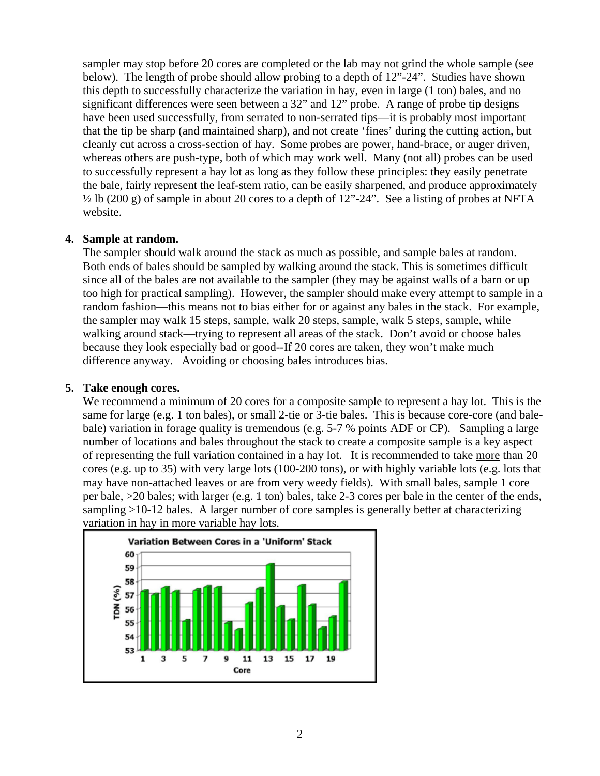sampler may stop before 20 cores are completed or the lab may not grind the whole sample (see below). The length of probe should allow probing to a depth of 12"-24". Studies have shown this depth to successfully characterize the variation in hay, even in large (1 ton) bales, and no significant differences were seen between a 32" and 12" probe. A range of probe tip designs have been used successfully, from serrated to non-serrated tips—it is probably most important that the tip be sharp (and maintained sharp), and not create 'fines' during the cutting action, but cleanly cut across a cross-section of hay. Some probes are power, hand-brace, or auger driven, whereas others are push-type, both of which may work well. Many (not all) probes can be used to successfully represent a hay lot as long as they follow these principles: they easily penetrate the bale, fairly represent the leaf-stem ratio, can be easily sharpened, and produce approximately  $\frac{1}{2}$  lb (200 g) of sample in about 20 cores to a depth of 12"-24". See a listing of probes at NFTA website.

# **4. Sample at random.**

The sampler should walk around the stack as much as possible, and sample bales at random. Both ends of bales should be sampled by walking around the stack. This is sometimes difficult since all of the bales are not available to the sampler (they may be against walls of a barn or up too high for practical sampling). However, the sampler should make every attempt to sample in a random fashion—this means not to bias either for or against any bales in the stack. For example, the sampler may walk 15 steps, sample, walk 20 steps, sample, walk 5 steps, sample, while walking around stack—trying to represent all areas of the stack. Don't avoid or choose bales because they look especially bad or good--If 20 cores are taken, they won't make much difference anyway. Avoiding or choosing bales introduces bias.

# **5. Take enough cores.**

We recommend a minimum of 20 cores for a composite sample to represent a hay lot. This is the same for large (e.g. 1 ton bales), or small 2-tie or 3-tie bales. This is because core-core (and balebale) variation in forage quality is tremendous (e.g. 5-7 % points ADF or CP). Sampling a large number of locations and bales throughout the stack to create a composite sample is a key aspect of representing the full variation contained in a hay lot. It is recommended to take more than 20 cores (e.g. up to 35) with very large lots (100-200 tons), or with highly variable lots (e.g. lots that may have non-attached leaves or are from very weedy fields). With small bales, sample 1 core per bale, >20 bales; with larger (e.g. 1 ton) bales, take 2-3 cores per bale in the center of the ends, sampling >10-12 bales. A larger number of core samples is generally better at characterizing variation in hay in more variable hay lots.